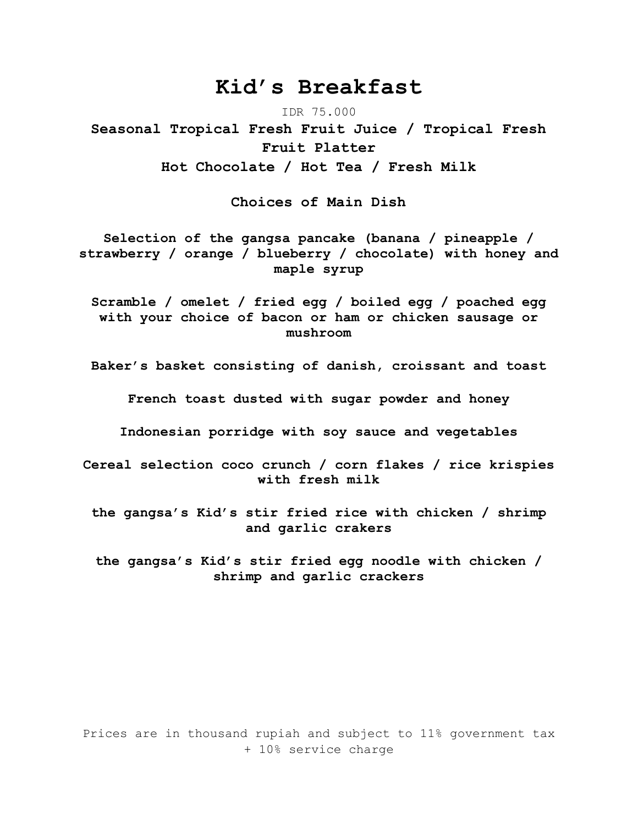# **Kid's Breakfast**

IDR 75.000

**Seasonal Tropical Fresh Fruit Juice / Tropical Fresh Fruit Platter Hot Chocolate / Hot Tea / Fresh Milk** 

**Choices of Main Dish**

**Selection of the gangsa pancake (banana / pineapple / strawberry / orange / blueberry / chocolate) with honey and maple syrup**

**Scramble / omelet / fried egg / boiled egg / poached egg with your choice of bacon or ham or chicken sausage or mushroom**

**Baker's basket consisting of danish, croissant and toast**

**French toast dusted with sugar powder and honey**

**Indonesian porridge with soy sauce and vegetables**

**Cereal selection coco crunch / corn flakes / rice krispies with fresh milk**

**the gangsa's Kid's stir fried rice with chicken / shrimp and garlic crakers**

**the gangsa's Kid's stir fried egg noodle with chicken / shrimp and garlic crackers**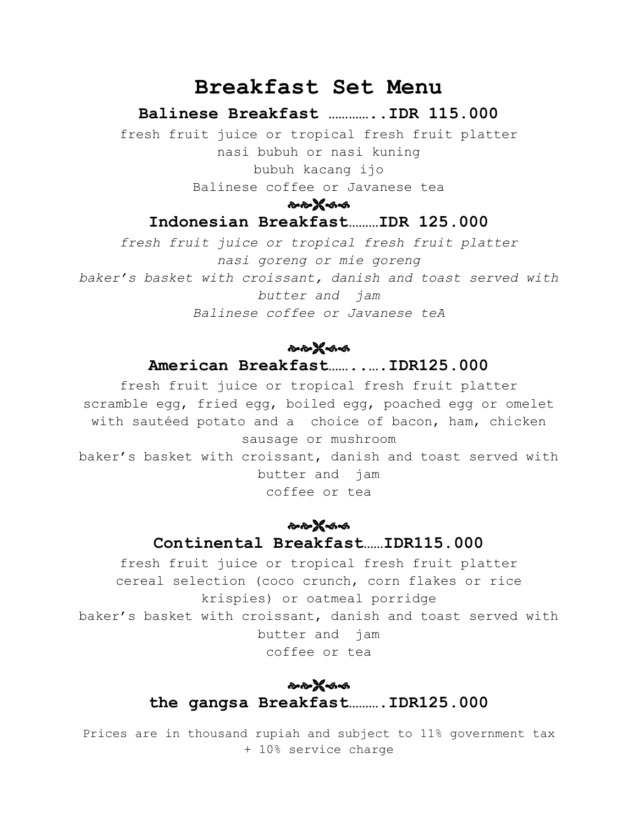# **Breakfast Set Menu**

### **Balinese Breakfast …………..IDR 115.000**

fresh fruit juice or tropical fresh fruit platter nasi bubuh or nasi kuning bubuh kacang ijo Balinese coffee or Javanese tea

๛๛๚๛๛

## **Indonesian Breakfast………IDR 125.000**

*fresh fruit juice or tropical fresh fruit platter nasi goreng or mie goreng baker's basket with croissant, danish and toast served with butter and jam Balinese coffee or Javanese teA*

## ๛๛๚๛๛

## **American Breakfast……..….IDR125.000**

fresh fruit juice or tropical fresh fruit platter scramble egg, fried egg, boiled egg, poached egg or omelet with sautéed potato and a choice of bacon, ham, chicken sausage or mushroom baker's basket with croissant, danish and toast served with butter and jam coffee or tea

## ๛๛๚๛๛ **Continental Breakfast……IDR115.000**

fresh fruit juice or tropical fresh fruit platter cereal selection (coco crunch, corn flakes or rice krispies) or oatmeal porridge baker's basket with croissant, danish and toast served with butter and jam coffee or tea

## ๛๛๛๛ **the gangsa Breakfast……….IDR125.000**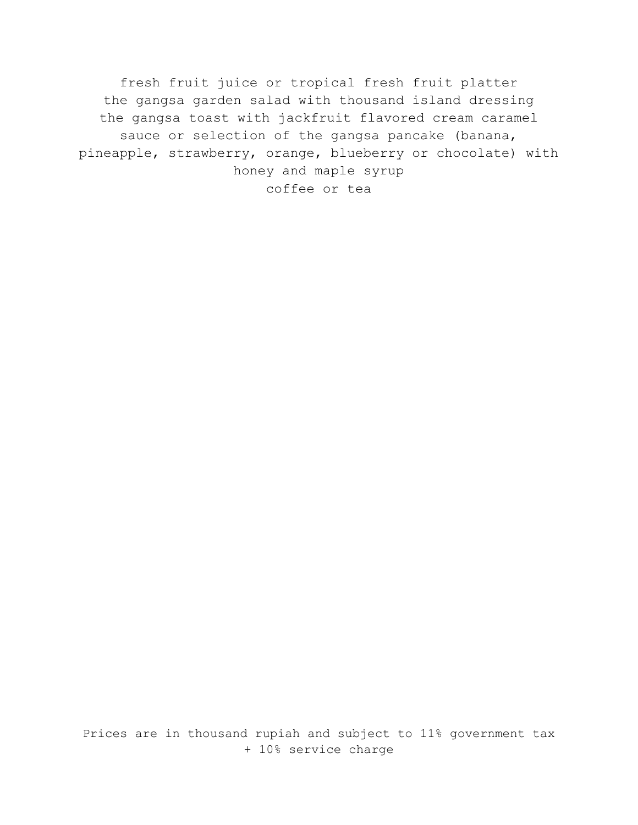fresh fruit juice or tropical fresh fruit platter the gangsa garden salad with thousand island dressing the gangsa toast with jackfruit flavored cream caramel sauce or selection of the gangsa pancake (banana, pineapple, strawberry, orange, blueberry or chocolate) with honey and maple syrup coffee or tea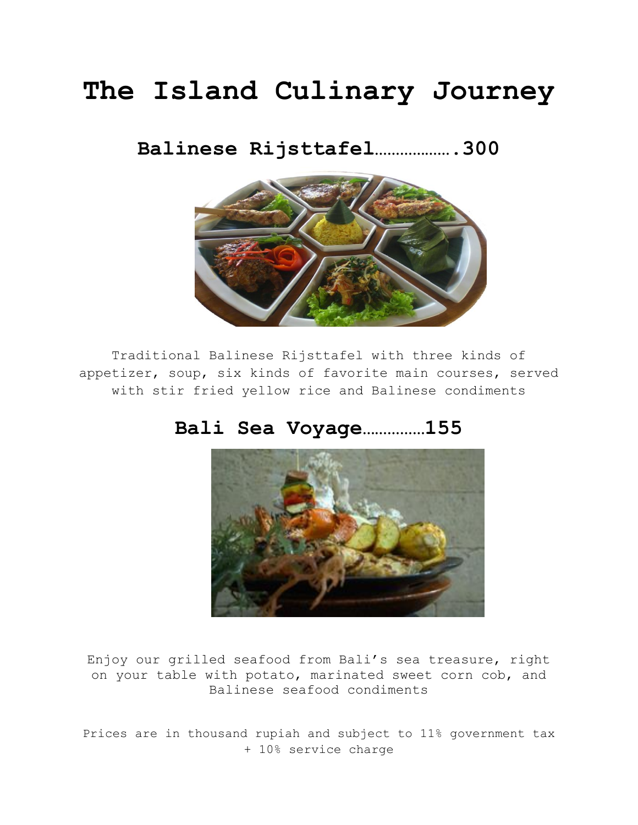# **The Island Culinary Journey**

# **Balinese Rijsttafel……………….300**



Traditional Balinese Rijsttafel with three kinds of appetizer, soup, six kinds of favorite main courses, served with stir fried yellow rice and Balinese condiments

# **Bali Sea Voyage……………155**



Enjoy our grilled seafood from Bali's sea treasure, right on your table with potato, marinated sweet corn cob, and Balinese seafood condiments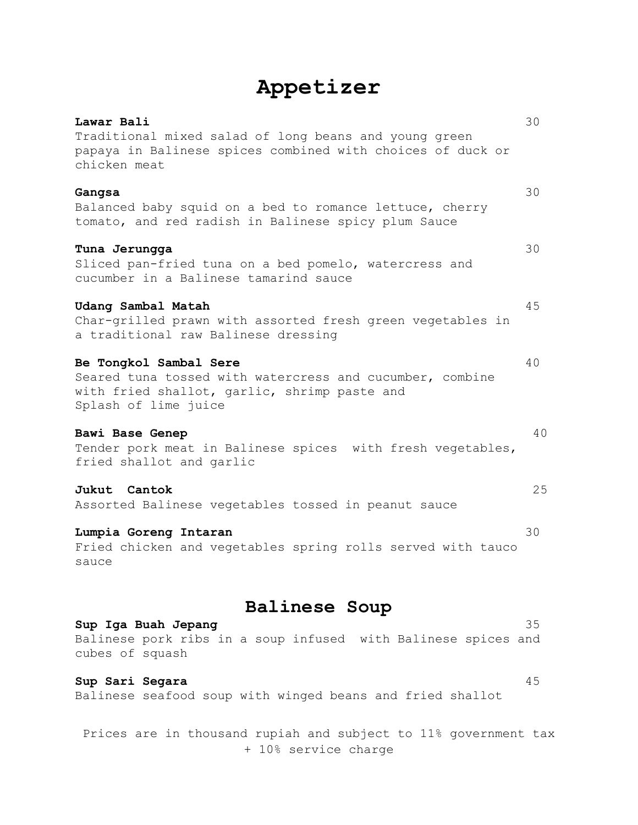# **Appetizer**

| Lawar Bali<br>Traditional mixed salad of long beans and young green<br>papaya in Balinese spices combined with choices of duck or<br>chicken meat          | 30 |
|------------------------------------------------------------------------------------------------------------------------------------------------------------|----|
| Gangsa<br>Balanced baby squid on a bed to romance lettuce, cherry<br>tomato, and red radish in Balinese spicy plum Sauce                                   | 30 |
| Tuna Jerungga<br>Sliced pan-fried tuna on a bed pomelo, watercress and<br>cucumber in a Balinese tamarind sauce                                            | 30 |
| Udang Sambal Matah<br>Char-grilled prawn with assorted fresh green vegetables in<br>a traditional raw Balinese dressing                                    | 45 |
| Be Tongkol Sambal Sere<br>Seared tuna tossed with watercress and cucumber, combine<br>with fried shallot, garlic, shrimp paste and<br>Splash of lime juice | 40 |
| Bawi Base Genep<br>Tender pork meat in Balinese spices with fresh vegetables,<br>fried shallot and garlic                                                  | 40 |
| Jukut Cantok<br>Assorted Balinese vegetables tossed in peanut sauce                                                                                        | 25 |
| Lumpia Goreng Intaran<br>Fried chicken and vegetables spring rolls served with tauco<br>sauce                                                              | 30 |
| <b>Balinese Soup</b><br>Sup Iga Buah Jepang<br>Balinese pork ribs in a soup infused with Balinese spices and<br>cubes of squash                            | 35 |
| Sup Sari Segara<br>Balinese seafood soup with winged beans and fried shallot                                                                               | 45 |
| Prices are in thousand rupiah and subject to 11% government tax                                                                                            |    |

+ 10% service charge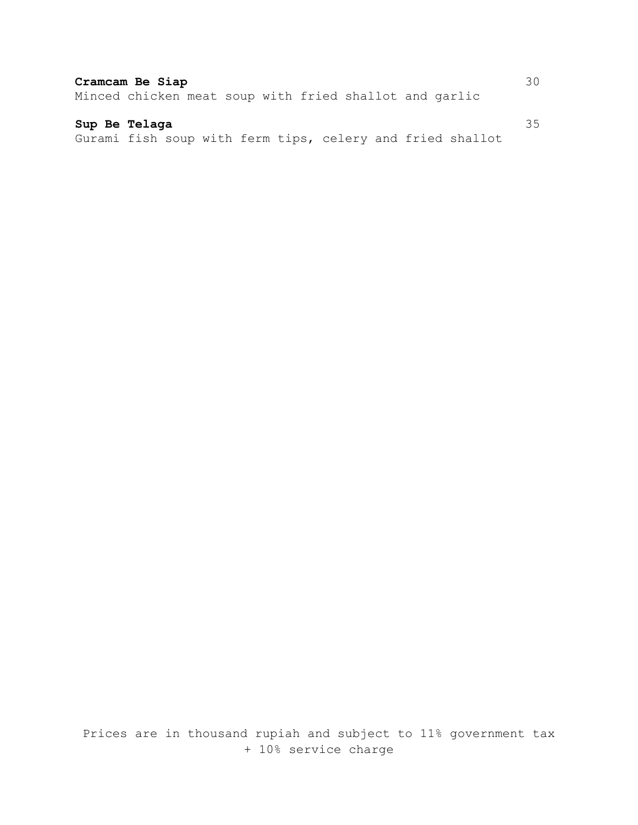## **Cramcam Be Siap** 30

Minced chicken meat soup with fried shallot and garlic

#### **Sup Be Telaga** 35

Gurami fish soup with ferm tips, celery and fried shallot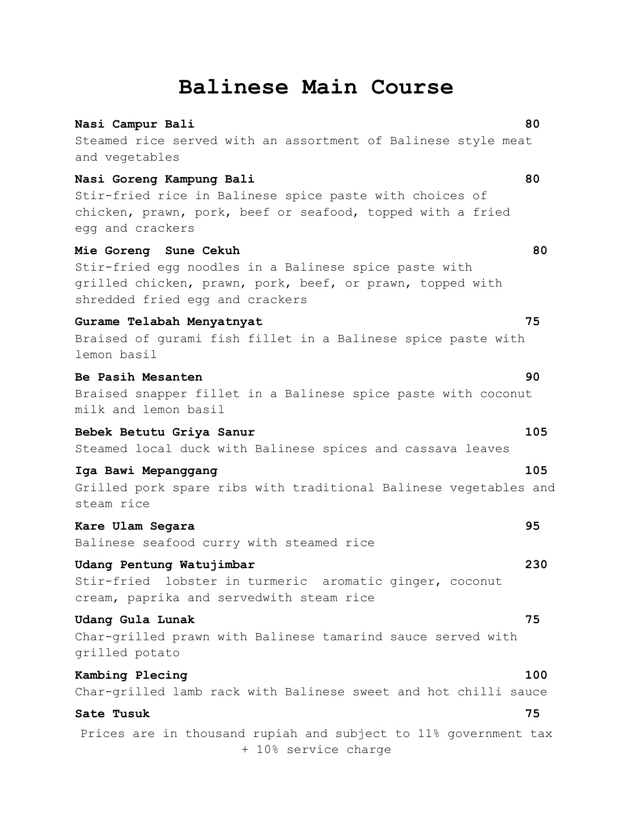# **Balinese Main Course**

| Nasi Campur Bali                                                                                                                                                               | 80  |
|--------------------------------------------------------------------------------------------------------------------------------------------------------------------------------|-----|
| Steamed rice served with an assortment of Balinese style meat<br>and vegetables                                                                                                |     |
| Nasi Goreng Kampung Bali<br>Stir-fried rice in Balinese spice paste with choices of<br>chicken, prawn, pork, beef or seafood, topped with a fried<br>egg and crackers          | 80  |
| Mie Goreng Sune Cekuh<br>Stir-fried egg noodles in a Balinese spice paste with<br>grilled chicken, prawn, pork, beef, or prawn, topped with<br>shredded fried egg and crackers | 80  |
| Gurame Telabah Menyatnyat<br>Braised of gurami fish fillet in a Balinese spice paste with<br>lemon basil                                                                       | 75  |
| Be Pasih Mesanten<br>Braised snapper fillet in a Balinese spice paste with coconut<br>milk and lemon basil                                                                     | 90  |
| Bebek Betutu Griya Sanur<br>Steamed local duck with Balinese spices and cassava leaves                                                                                         | 105 |
| Iga Bawi Mepanggang<br>Grilled pork spare ribs with traditional Balinese vegetables and<br>steam rice                                                                          | 105 |
| Kare Ulam Segara<br>Balinese seafood curry with steamed rice                                                                                                                   | 95  |
| Udang Pentung Watujimbar<br>Stir-fried lobster in turmeric aromatic ginger, coconut<br>cream, paprika and servedwith steam rice                                                | 230 |
| Udang Gula Lunak<br>Char-grilled prawn with Balinese tamarind sauce served with<br>grilled potato                                                                              | 75  |
| Kambing Plecing<br>Char-grilled lamb rack with Balinese sweet and hot chilli sauce                                                                                             | 100 |
| Sate Tusuk                                                                                                                                                                     | 75  |
| Prices are in thousand rupiah and subject to 11% government tax<br>+ 10% service charge                                                                                        |     |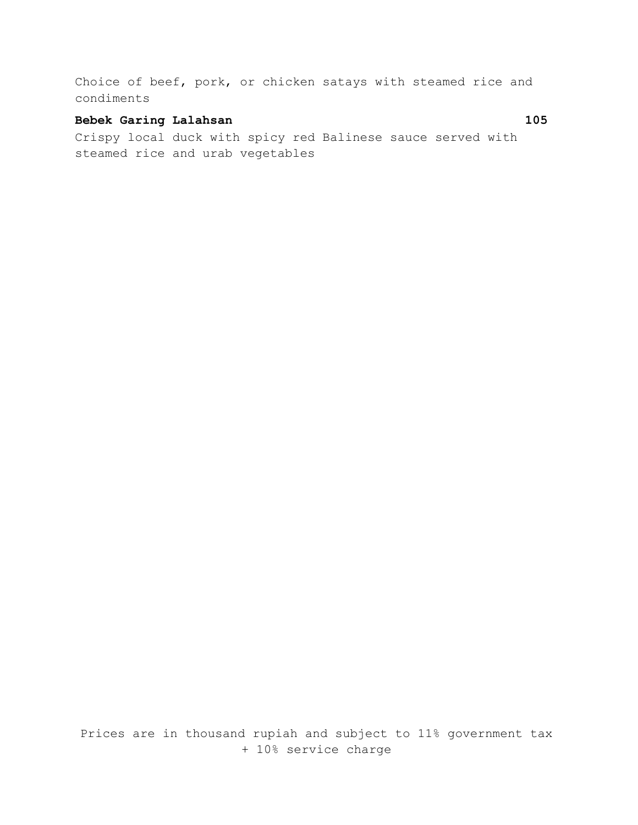Choice of beef, pork, or chicken satays with steamed rice and condiments

### **Bebek Garing Lalahsan 105**

Crispy local duck with spicy red Balinese sauce served with steamed rice and urab vegetables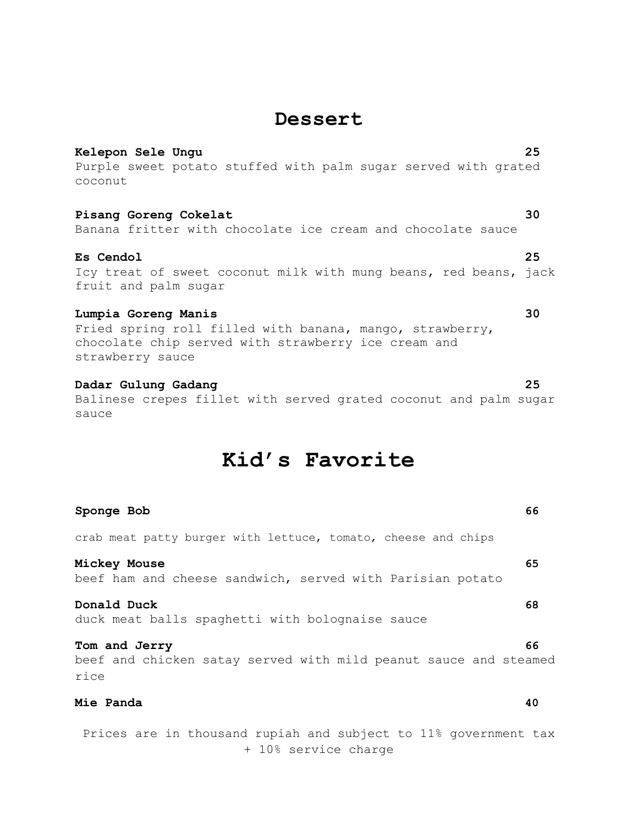# **Dessert**

**Kelepon Sele Ungu 25** Purple sweet potato stuffed with palm sugar served with grated coconut

#### **Pisang Goreng Cokelat 30**

Banana fritter with chocolate ice cream and chocolate sauce

#### **Es Cendol 25**

Icy treat of sweet coconut milk with mung beans, red beans, jack fruit and palm sugar

#### **Lumpia Goreng Manis 30**

Fried spring roll filled with banana, mango, strawberry, chocolate chip served with strawberry ice cream and strawberry sauce

### **Dadar Gulung Gadang 25**

Balinese crepes fillet with served grated coconut and palm sugar sauce

# **Kid's Favorite**

| Sponge Bob                                                                                | 66 |
|-------------------------------------------------------------------------------------------|----|
| crab meat patty burger with lettuce, tomato, cheese and chips                             |    |
| Mickey Mouse<br>beef ham and cheese sandwich, served with Parisian potato                 | 65 |
| Donald Duck<br>duck meat balls spaghetti with bolognaise sauce                            | 68 |
| Tom and Jerry<br>beef and chicken satay served with mild peanut sauce and steamed<br>rice | 66 |
| Mie Panda                                                                                 | 40 |
| Prices are in thousand rupiah and subject to 11% government tax<br>+ 10% service charge   |    |